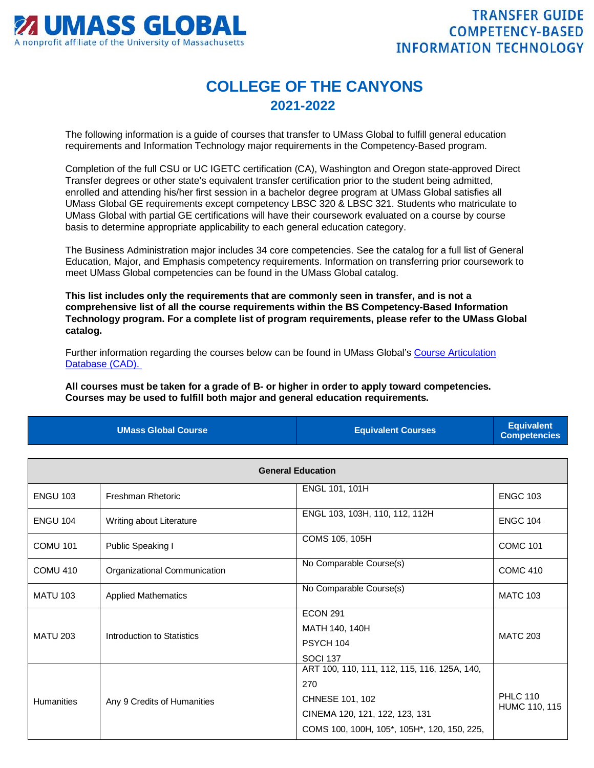

## **COLLEGE OF THE CANYONS 2021-2022**

The following information is a guide of courses that transfer to UMass Global to fulfill general education requirements and Information Technology major requirements in the Competency-Based program.

Completion of the full CSU or UC IGETC certification (CA), Washington and Oregon state-approved Direct Transfer degrees or other state's equivalent transfer certification prior to the student being admitted, enrolled and attending his/her first session in a bachelor degree program at UMass Global satisfies all UMass Global GE requirements except competency LBSC 320 & LBSC 321. Students who matriculate to UMass Global with partial GE certifications will have their coursework evaluated on a course by course basis to determine appropriate applicability to each general education category.

The Business Administration major includes 34 core competencies. See the catalog for a full list of General Education, Major, and Emphasis competency requirements. Information on transferring prior coursework to meet UMass Global competencies can be found in the UMass Global catalog.

**This list includes only the requirements that are commonly seen in transfer, and is not a comprehensive list of all the course requirements within the BS Competency-Based Information Technology program. For a complete list of program requirements, please refer to the UMass Global catalog.**

Further information regarding the courses below can be found in UMass Global's [Course Articulation](http://services.umassglobal.edu/studentservices/TransferCredit/)  [Database \(CAD\).](http://services.umassglobal.edu/studentservices/TransferCredit/) 

**All courses must be taken for a grade of B- or higher in order to apply toward competencies. Courses may be used to fulfill both major and general education requirements.** 

| <b>UMass Global Course</b> | <b>Equivalent Courses</b> | <b>Equivalent</b><br><b>Competencies</b> |
|----------------------------|---------------------------|------------------------------------------|
|                            |                           |                                          |

| <b>General Education</b> |                              |                                                                                                                                                         |                                  |
|--------------------------|------------------------------|---------------------------------------------------------------------------------------------------------------------------------------------------------|----------------------------------|
| <b>ENGU 103</b>          | Freshman Rhetoric            | ENGL 101, 101H                                                                                                                                          | <b>ENGC 103</b>                  |
| <b>ENGU 104</b>          | Writing about Literature     | ENGL 103, 103H, 110, 112, 112H                                                                                                                          | <b>ENGC 104</b>                  |
| <b>COMU 101</b>          | Public Speaking I            | COMS 105, 105H                                                                                                                                          | <b>COMC 101</b>                  |
| <b>COMU 410</b>          | Organizational Communication | No Comparable Course(s)                                                                                                                                 | <b>COMC 410</b>                  |
| <b>MATU 103</b>          | <b>Applied Mathematics</b>   | No Comparable Course(s)                                                                                                                                 | <b>MATC 103</b>                  |
| <b>MATU 203</b>          | Introduction to Statistics   | <b>ECON 291</b><br>MATH 140, 140H<br>PSYCH 104<br><b>SOCI 137</b>                                                                                       | <b>MATC 203</b>                  |
| <b>Humanities</b>        | Any 9 Credits of Humanities  | ART 100, 110, 111, 112, 115, 116, 125A, 140,<br>270<br>CHNESE 101, 102<br>CINEMA 120, 121, 122, 123, 131<br>COMS 100, 100H, 105*, 105H*, 120, 150, 225, | <b>PHLC 110</b><br>HUMC 110, 115 |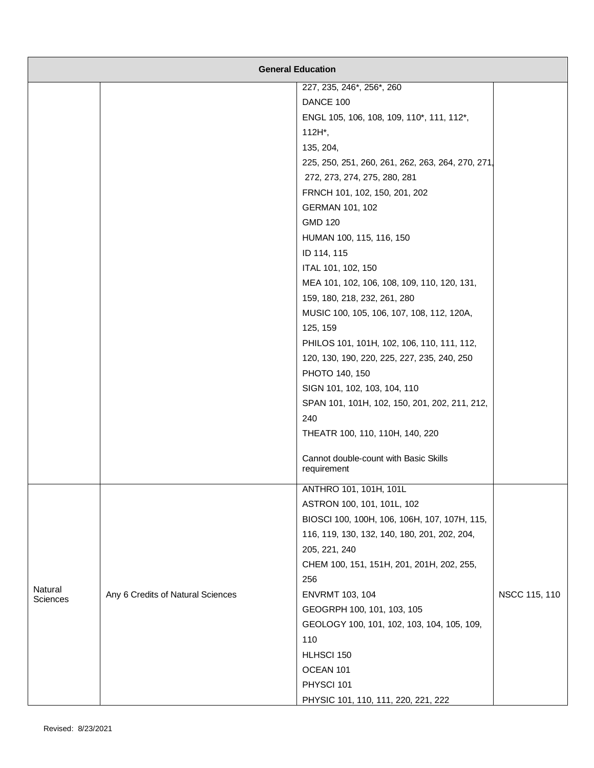|                     | <b>General Education</b>          |                                                      |               |
|---------------------|-----------------------------------|------------------------------------------------------|---------------|
|                     |                                   | 227, 235, 246*, 256*, 260                            |               |
|                     |                                   | DANCE 100                                            |               |
|                     |                                   | ENGL 105, 106, 108, 109, 110*, 111, 112*,            |               |
|                     |                                   | $112H^*$ ,                                           |               |
|                     |                                   | 135, 204,                                            |               |
|                     |                                   | 225, 250, 251, 260, 261, 262, 263, 264, 270, 271     |               |
|                     |                                   | 272, 273, 274, 275, 280, 281                         |               |
|                     |                                   | FRNCH 101, 102, 150, 201, 202                        |               |
|                     |                                   | GERMAN 101, 102                                      |               |
|                     |                                   | <b>GMD 120</b>                                       |               |
|                     |                                   | HUMAN 100, 115, 116, 150                             |               |
|                     |                                   | ID 114, 115                                          |               |
|                     |                                   | ITAL 101, 102, 150                                   |               |
|                     |                                   | MEA 101, 102, 106, 108, 109, 110, 120, 131,          |               |
|                     |                                   | 159, 180, 218, 232, 261, 280                         |               |
|                     |                                   | MUSIC 100, 105, 106, 107, 108, 112, 120A,            |               |
|                     |                                   | 125, 159                                             |               |
|                     |                                   | PHILOS 101, 101H, 102, 106, 110, 111, 112,           |               |
|                     |                                   | 120, 130, 190, 220, 225, 227, 235, 240, 250          |               |
|                     |                                   | PHOTO 140, 150                                       |               |
|                     |                                   | SIGN 101, 102, 103, 104, 110                         |               |
|                     |                                   | SPAN 101, 101H, 102, 150, 201, 202, 211, 212,        |               |
|                     |                                   | 240                                                  |               |
|                     |                                   | THEATR 100, 110, 110H, 140, 220                      |               |
|                     |                                   | Cannot double-count with Basic Skills<br>requirement |               |
|                     |                                   | ANTHRO 101, 101H, 101L                               |               |
|                     |                                   | ASTRON 100, 101, 101L, 102                           |               |
|                     |                                   | BIOSCI 100, 100H, 106, 106H, 107, 107H, 115,         |               |
|                     |                                   | 116, 119, 130, 132, 140, 180, 201, 202, 204,         |               |
|                     |                                   | 205, 221, 240                                        |               |
|                     |                                   | CHEM 100, 151, 151H, 201, 201H, 202, 255,            |               |
|                     |                                   | 256                                                  |               |
| Natural<br>Sciences | Any 6 Credits of Natural Sciences | <b>ENVRMT 103, 104</b>                               | NSCC 115, 110 |
|                     |                                   | GEOGRPH 100, 101, 103, 105                           |               |
|                     |                                   | GEOLOGY 100, 101, 102, 103, 104, 105, 109,           |               |
|                     |                                   | 110                                                  |               |
|                     |                                   | HLHSCI 150                                           |               |
|                     |                                   | OCEAN 101                                            |               |
|                     |                                   | PHYSCI 101                                           |               |
|                     |                                   | PHYSIC 101, 110, 111, 220, 221, 222                  |               |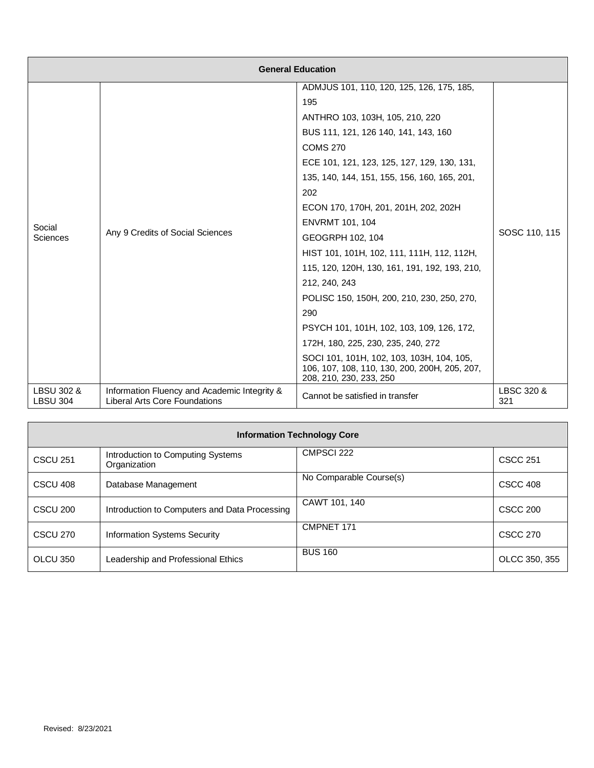| <b>General Education</b>      |                                                                                      |                                                                                                                       |                   |
|-------------------------------|--------------------------------------------------------------------------------------|-----------------------------------------------------------------------------------------------------------------------|-------------------|
|                               |                                                                                      | ADMJUS 101, 110, 120, 125, 126, 175, 185,                                                                             |                   |
|                               |                                                                                      | 195                                                                                                                   | SOSC 110, 115     |
|                               |                                                                                      | ANTHRO 103, 103H, 105, 210, 220                                                                                       |                   |
|                               |                                                                                      | BUS 111, 121, 126 140, 141, 143, 160                                                                                  |                   |
|                               |                                                                                      | <b>COMS 270</b>                                                                                                       |                   |
|                               |                                                                                      | ECE 101, 121, 123, 125, 127, 129, 130, 131,                                                                           |                   |
|                               |                                                                                      | 135, 140, 144, 151, 155, 156, 160, 165, 201,                                                                          |                   |
|                               |                                                                                      | 202                                                                                                                   |                   |
|                               |                                                                                      | ECON 170, 170H, 201, 201H, 202, 202H                                                                                  |                   |
| Social                        | Any 9 Credits of Social Sciences                                                     | <b>ENVRMT 101, 104</b>                                                                                                |                   |
| Sciences                      |                                                                                      | GEOGRPH 102, 104                                                                                                      |                   |
|                               |                                                                                      | HIST 101, 101H, 102, 111, 111H, 112, 112H,                                                                            |                   |
|                               |                                                                                      | 115, 120, 120H, 130, 161, 191, 192, 193, 210,                                                                         |                   |
|                               |                                                                                      | 212, 240, 243                                                                                                         |                   |
|                               |                                                                                      | POLISC 150, 150H, 200, 210, 230, 250, 270,                                                                            |                   |
|                               |                                                                                      | 290                                                                                                                   |                   |
|                               |                                                                                      | PSYCH 101, 101H, 102, 103, 109, 126, 172,                                                                             |                   |
|                               |                                                                                      | 172H, 180, 225, 230, 235, 240, 272                                                                                    |                   |
|                               |                                                                                      | SOCI 101, 101H, 102, 103, 103H, 104, 105,<br>106, 107, 108, 110, 130, 200, 200H, 205, 207,<br>208, 210, 230, 233, 250 |                   |
| LBSU 302 &<br><b>LBSU 304</b> | Information Fluency and Academic Integrity &<br><b>Liberal Arts Core Foundations</b> | Cannot be satisfied in transfer                                                                                       | LBSC 320 &<br>321 |

| <b>Information Technology Core</b> |                                                   |                         |                 |
|------------------------------------|---------------------------------------------------|-------------------------|-----------------|
| <b>CSCU 251</b>                    | Introduction to Computing Systems<br>Organization | CMPSCI 222              | <b>CSCC 251</b> |
| CSCU 408                           | Database Management                               | No Comparable Course(s) | CSCC 408        |
| CSCU <sub>200</sub>                | Introduction to Computers and Data Processing     | CAWT 101, 140           | <b>CSCC 200</b> |
| <b>CSCU 270</b>                    | <b>Information Systems Security</b>               | CMPNET 171              | <b>CSCC 270</b> |
| OLCU 350                           | Leadership and Professional Ethics                | <b>BUS 160</b>          | OLCC 350, 355   |